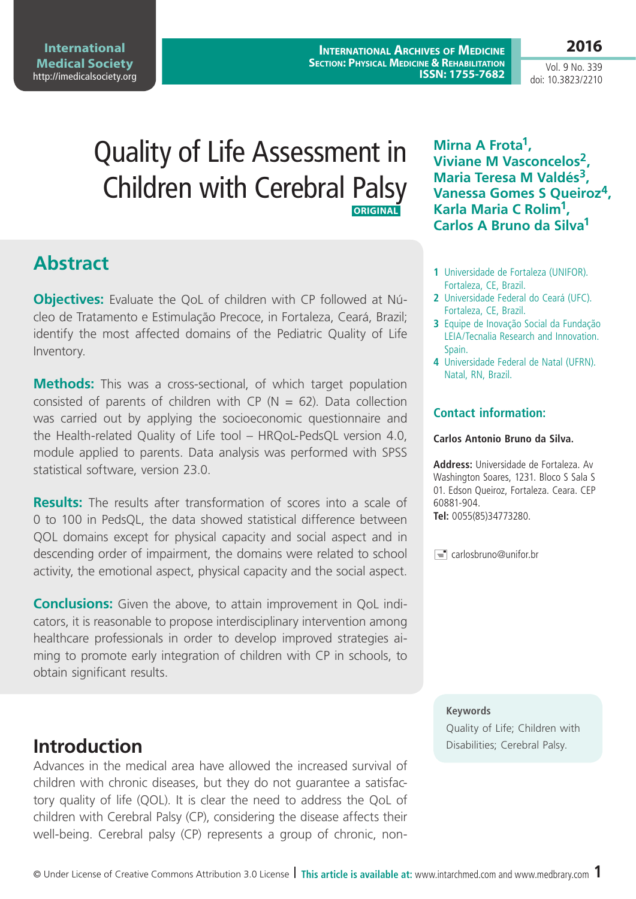Vol. 9 No. 339 doi: 10.3823/2210

**2016**

# Quality of Life Assessment in Children with Cerebral Palsy **ORIGINAL**

## **Abstract**

**Objectives:** Evaluate the QoL of children with CP followed at Núcleo de Tratamento e Estimulação Precoce, in Fortaleza, Ceará, Brazil; identify the most affected domains of the Pediatric Quality of Life Inventory.

**Methods:** This was a cross-sectional, of which target population consisted of parents of children with CP ( $N = 62$ ). Data collection was carried out by applying the socioeconomic questionnaire and the Health-related Quality of Life tool – HRQoL-PedsQL version 4.0, module applied to parents. Data analysis was performed with SPSS statistical software, version 23.0.

**Results:** The results after transformation of scores into a scale of 0 to 100 in PedsQL, the data showed statistical difference between QOL domains except for physical capacity and social aspect and in descending order of impairment, the domains were related to school activity, the emotional aspect, physical capacity and the social aspect.

**Conclusions:** Given the above, to attain improvement in QoL indicators, it is reasonable to propose interdisciplinary intervention among healthcare professionals in order to develop improved strategies aiming to promote early integration of children with CP in schools, to obtain significant results.

Advances in the medical area have allowed the increased survival of children with chronic diseases, but they do not guarantee a satisfactory quality of life (QOL). It is clear the need to address the QoL of children with Cerebral Palsy (CP), considering the disease affects their well-being. Cerebral palsy (CP) represents a group of chronic, non**Mirna A Frota1, Viviane M Vasconcelos2, Maria Teresa M Valdés3, Vanessa Gomes S Queiroz4, Karla Maria C Rolim1, Carlos A Bruno da Silva1**

- **1** Universidade de Fortaleza (UNIFOR). Fortaleza, CE, Brazil.
- **2** Universidade Federal do Ceará (UFC). Fortaleza, CE, Brazil.
- **3** Equipe de Inovação Social da Fundação LEIA/Tecnalia Research and Innovation. Spain.
- **4** Universidade Federal de Natal (UFRN). Natal, RN, Brazil.

#### **Contact information:**

#### **Carlos Antonio Bruno da Silva.**

**Address:** Universidade de Fortaleza. Av Washington Soares, 1231. Bloco S Sala S 01. Edson Queiroz, Fortaleza. Ceara. CEP 60881-904. **Tel:** 0055(85)34773280.

 $\equiv$  carlosbruno@unifor.br

#### **Keywords**

Quality of Life; Children with **Introduction** Disabilities; Cerebral Palsy.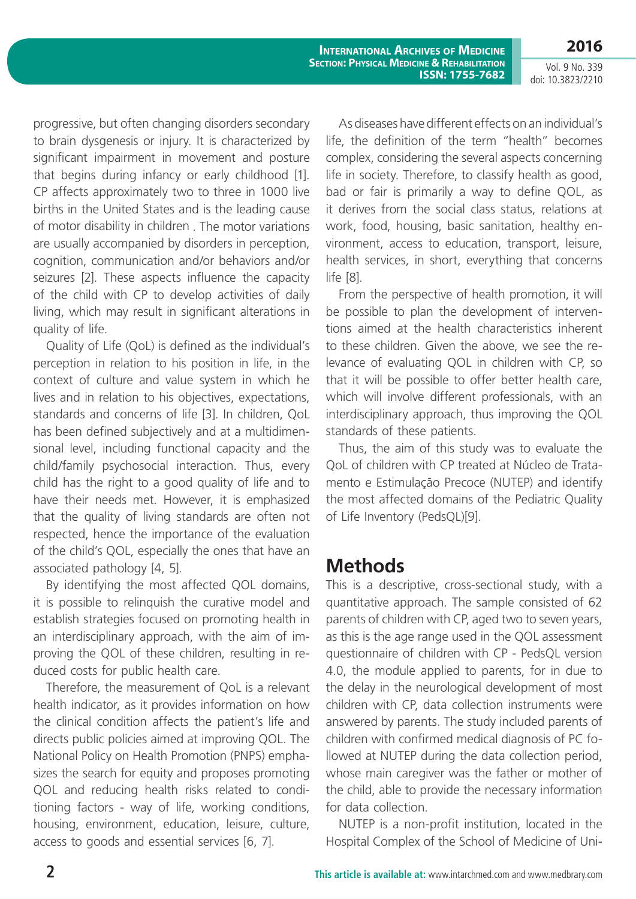Vol. 9 No. 339 doi: 10.3823/2210

**2016**

progressive, but often changing disorders secondary to brain dysgenesis or injury. It is characterized by significant impairment in movement and posture that begins during infancy or early childhood [1]. CP affects approximately two to three in 1000 live births in the United States and is the leading cause of motor disability in children . The motor variations are usually accompanied by disorders in perception, cognition, communication and/or behaviors and/or seizures [2]. These aspects influence the capacity of the child with CP to develop activities of daily living, which may result in significant alterations in quality of life.

Quality of Life (QoL) is defined as the individual's perception in relation to his position in life, in the context of culture and value system in which he lives and in relation to his objectives, expectations, standards and concerns of life [3]. In children, QoL has been defined subjectively and at a multidimensional level, including functional capacity and the child/family psychosocial interaction. Thus, every child has the right to a good quality of life and to have their needs met. However, it is emphasized that the quality of living standards are often not respected, hence the importance of the evaluation of the child's QOL, especially the ones that have an associated pathology [4, 5].

By identifying the most affected QOL domains, it is possible to relinquish the curative model and establish strategies focused on promoting health in an interdisciplinary approach, with the aim of improving the QOL of these children, resulting in reduced costs for public health care.

Therefore, the measurement of QoL is a relevant health indicator, as it provides information on how the clinical condition affects the patient's life and directs public policies aimed at improving QOL. The National Policy on Health Promotion (PNPS) emphasizes the search for equity and proposes promoting QOL and reducing health risks related to conditioning factors - way of life, working conditions, housing, environment, education, leisure, culture, access to goods and essential services [6, 7].

As diseases have different effects on an individual's life, the definition of the term "health" becomes complex, considering the several aspects concerning life in society. Therefore, to classify health as good, bad or fair is primarily a way to define QOL, as it derives from the social class status, relations at work, food, housing, basic sanitation, healthy environment, access to education, transport, leisure, health services, in short, everything that concerns life [8].

From the perspective of health promotion, it will be possible to plan the development of interventions aimed at the health characteristics inherent to these children. Given the above, we see the relevance of evaluating QOL in children with CP, so that it will be possible to offer better health care, which will involve different professionals, with an interdisciplinary approach, thus improving the QOL standards of these patients.

Thus, the aim of this study was to evaluate the QoL of children with CP treated at Núcleo de Tratamento e Estimulação Precoce (NUTEP) and identify the most affected domains of the Pediatric Quality of Life Inventory (PedsQL)[9].

## **Methods**

This is a descriptive, cross-sectional study, with a quantitative approach. The sample consisted of 62 parents of children with CP, aged two to seven years, as this is the age range used in the QOL assessment questionnaire of children with CP - PedsQL version 4.0, the module applied to parents, for in due to the delay in the neurological development of most children with CP, data collection instruments were answered by parents. The study included parents of children with confirmed medical diagnosis of PC followed at NUTEP during the data collection period, whose main caregiver was the father or mother of the child, able to provide the necessary information for data collection.

NUTEP is a non-profit institution, located in the Hospital Complex of the School of Medicine of Uni-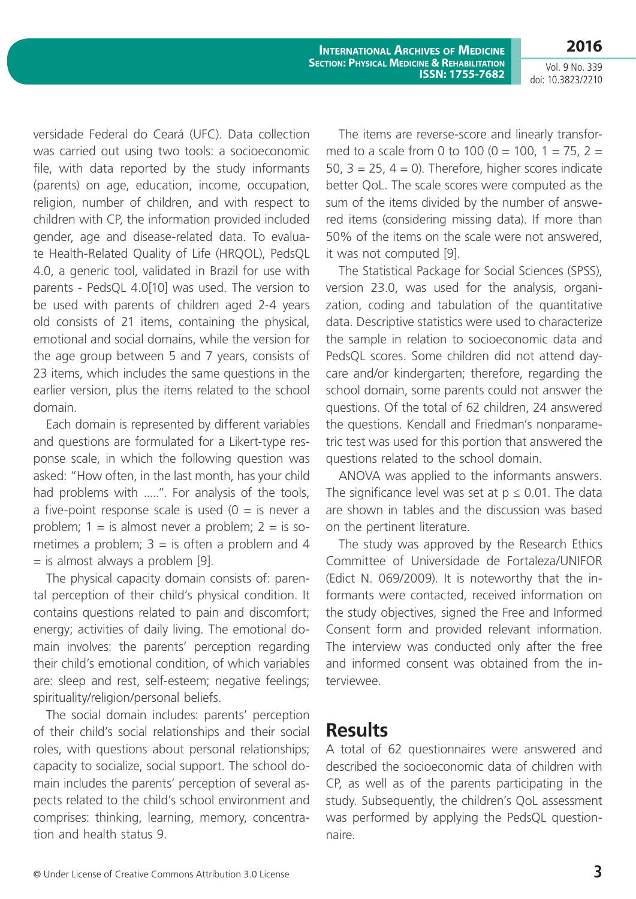Vol. 9 No. 339 doi: 10.3823/2210

**2016**

versidade Federal do Ceará (UFC). Data collection was carried out using two tools: a socioeconomic file, with data reported by the study informants (parents) on age, education, income, occupation, religion, number of children, and with respect to children with CP, the information provided included gender, age and disease-related data. To evaluate Health-Related Quality of Life (HRQOL), PedsQL 4.0, a generic tool, validated in Brazil for use with parents - PedsQL 4.0[10] was used. The version to be used with parents of children aged 2-4 years old consists of 21 items, containing the physical, emotional and social domains, while the version for the age group between 5 and 7 years, consists of 23 items, which includes the same questions in the earlier version, plus the items related to the school domain.

Each domain is represented by different variables and questions are formulated for a Likert-type response scale, in which the following question was asked: "How often, in the last month, has your child had problems with .....". For analysis of the tools, a five-point response scale is used  $(0 =$  is never a problem;  $1 =$  is almost never a problem;  $2 =$  is sometimes a problem:  $3 =$  is often a problem and 4 = is almost always a problem [9].

The physical capacity domain consists of: parental perception of their child's physical condition. It contains questions related to pain and discomfort; energy; activities of daily living. The emotional domain involves: the parents' perception regarding their child's emotional condition, of which variables are: sleep and rest, self-esteem; negative feelings; spirituality/religion/personal beliefs.

The social domain includes: parents' perception of their child's social relationships and their social roles, with questions about personal relationships; capacity to socialize, social support. The school domain includes the parents' perception of several aspects related to the child's school environment and comprises: thinking, learning, memory, concentration and health status 9.

The items are reverse-score and linearly transformed to a scale from 0 to 100 (0 = 100, 1 = 75, 2 = 50,  $3 = 25$ ,  $4 = 0$ ). Therefore, higher scores indicate better QoL. The scale scores were computed as the sum of the items divided by the number of answered items (considering missing data). If more than 50% of the items on the scale were not answered, it was not computed [9].

The Statistical Package for Social Sciences (SPSS), version 23.0, was used for the analysis, organization, coding and tabulation of the quantitative data. Descriptive statistics were used to characterize the sample in relation to socioeconomic data and PedsQL scores. Some children did not attend daycare and/or kindergarten; therefore, regarding the school domain, some parents could not answer the questions. Of the total of 62 children, 24 answered the questions. Kendall and Friedman's nonparametric test was used for this portion that answered the questions related to the school domain.

ANOVA was applied to the informants answers. The significance level was set at  $p \le 0.01$ . The data are shown in tables and the discussion was based on the pertinent literature.

The study was approved by the Research Ethics Committee of Universidade de Fortaleza/UNIFOR (Edict N. 069/2009). It is noteworthy that the informants were contacted, received information on the study objectives, signed the Free and Informed Consent form and provided relevant information. The interview was conducted only after the free and informed consent was obtained from the interviewee.

## **Results**

A total of 62 questionnaires were answered and described the socioeconomic data of children with CP, as well as of the parents participating in the study. Subsequently, the children's QoL assessment was performed by applying the PedsQL questionnaire.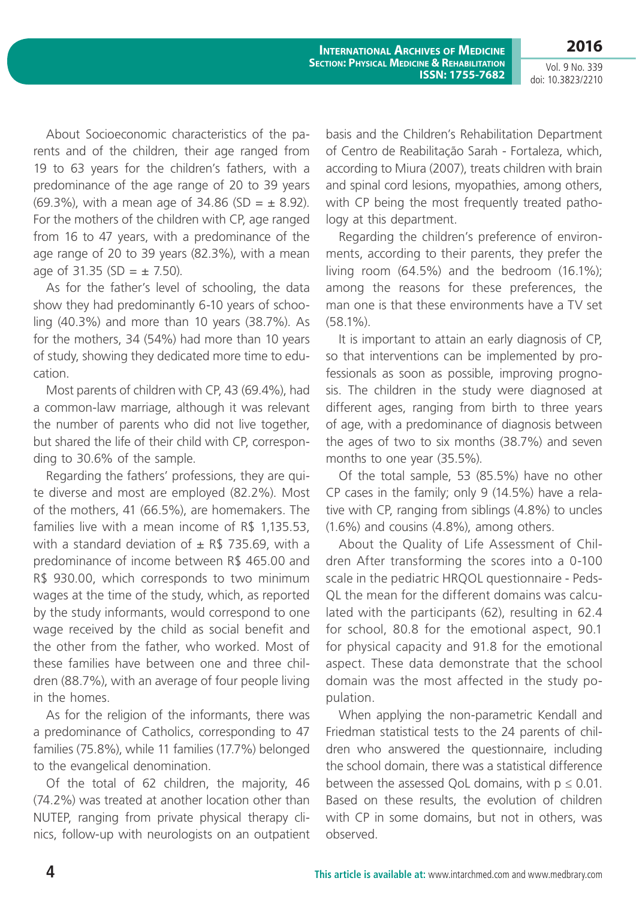Vol. 9 No. 339 doi: 10.3823/2210

**2016**

About Socioeconomic characteristics of the parents and of the children, their age ranged from 19 to 63 years for the children's fathers, with a predominance of the age range of 20 to 39 years (69.3%), with a mean age of 34.86 (SD =  $\pm$  8.92). For the mothers of the children with CP, age ranged from 16 to 47 years, with a predominance of the age range of 20 to 39 years (82.3%), with a mean age of 31.35 (SD =  $\pm$  7.50).

As for the father's level of schooling, the data show they had predominantly 6-10 years of schooling (40.3%) and more than 10 years (38.7%). As for the mothers, 34 (54%) had more than 10 years of study, showing they dedicated more time to education.

Most parents of children with CP, 43 (69.4%), had a common-law marriage, although it was relevant the number of parents who did not live together, but shared the life of their child with CP, corresponding to 30.6% of the sample.

Regarding the fathers' professions, they are quite diverse and most are employed (82.2%). Most of the mothers, 41 (66.5%), are homemakers. The families live with a mean income of R\$ 1,135.53, with a standard deviation of  $\pm$  R\$ 735.69, with a predominance of income between R\$ 465.00 and R\$ 930.00, which corresponds to two minimum wages at the time of the study, which, as reported by the study informants, would correspond to one wage received by the child as social benefit and the other from the father, who worked. Most of these families have between one and three children (88.7%), with an average of four people living in the homes.

As for the religion of the informants, there was a predominance of Catholics, corresponding to 47 families (75.8%), while 11 families (17.7%) belonged to the evangelical denomination.

Of the total of 62 children, the majority, 46 (74.2%) was treated at another location other than NUTEP, ranging from private physical therapy clinics, follow-up with neurologists on an outpatient basis and the Children's Rehabilitation Department of Centro de Reabilitação Sarah - Fortaleza, which, according to Miura (2007), treats children with brain and spinal cord lesions, myopathies, among others, with CP being the most frequently treated pathology at this department.

Regarding the children's preference of environments, according to their parents, they prefer the living room (64.5%) and the bedroom (16.1%); among the reasons for these preferences, the man one is that these environments have a TV set (58.1%).

It is important to attain an early diagnosis of CP, so that interventions can be implemented by professionals as soon as possible, improving prognosis. The children in the study were diagnosed at different ages, ranging from birth to three years of age, with a predominance of diagnosis between the ages of two to six months (38.7%) and seven months to one year (35.5%).

Of the total sample, 53 (85.5%) have no other CP cases in the family; only 9 (14.5%) have a relative with CP, ranging from siblings (4.8%) to uncles (1.6%) and cousins (4.8%), among others.

About the Quality of Life Assessment of Children After transforming the scores into a 0-100 scale in the pediatric HRQOL questionnaire - Peds-QL the mean for the different domains was calculated with the participants (62), resulting in 62.4 for school, 80.8 for the emotional aspect, 90.1 for physical capacity and 91.8 for the emotional aspect. These data demonstrate that the school domain was the most affected in the study population.

When applying the non-parametric Kendall and Friedman statistical tests to the 24 parents of children who answered the questionnaire, including the school domain, there was a statistical difference between the assessed QoL domains, with  $p \le 0.01$ . Based on these results, the evolution of children with CP in some domains, but not in others, was observed.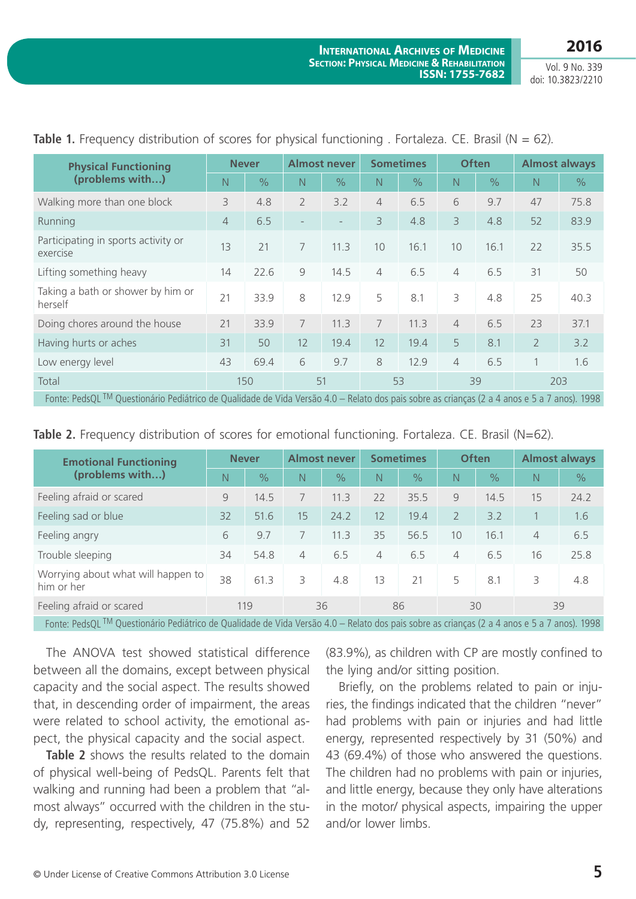**2016**

| <b>Physical Functioning</b>                                                                                                                                                                                                                                                                                                            | <b>Never</b>   |               | <b>Almost never</b>      |                          | <b>Sometimes</b> |      | <b>Often</b>   |      | <b>Almost always</b> |               |
|----------------------------------------------------------------------------------------------------------------------------------------------------------------------------------------------------------------------------------------------------------------------------------------------------------------------------------------|----------------|---------------|--------------------------|--------------------------|------------------|------|----------------|------|----------------------|---------------|
| (problems with)                                                                                                                                                                                                                                                                                                                        | N              | $\frac{0}{0}$ | N                        | $\frac{0}{0}$            | N                | $\%$ | N              | $\%$ | $\mathbb N$          | $\frac{0}{0}$ |
| Walking more than one block                                                                                                                                                                                                                                                                                                            | 3              | 4.8           | $\overline{2}$           | 3.2                      | $\overline{4}$   | 6.5  | 6              | 9.7  | 47                   | 75.8          |
| Running                                                                                                                                                                                                                                                                                                                                | $\overline{4}$ | 6.5           | $\overline{\phantom{0}}$ | $\overline{\phantom{a}}$ | 3                | 4.8  | 3              | 4.8  | 52                   | 83.9          |
| Participating in sports activity or<br>exercise                                                                                                                                                                                                                                                                                        | 13             | 21            | 7                        | 11.3                     | 10               | 16.1 | 10             | 16.1 | 22                   | 35.5          |
| Lifting something heavy                                                                                                                                                                                                                                                                                                                | 14             | 22.6          | 9                        | 14.5                     | $\overline{4}$   | 6.5  | $\overline{4}$ | 6.5  | 31                   | 50            |
| Taking a bath or shower by him or<br>herself                                                                                                                                                                                                                                                                                           | 21             | 33.9          | 8                        | 12.9                     | 5                | 8.1  | 3              | 4.8  | 25                   | 40.3          |
| Doing chores around the house                                                                                                                                                                                                                                                                                                          | 21             | 33.9          | 7                        | 11.3                     | 7                | 11.3 | $\overline{4}$ | 6.5  | 23                   | 37.1          |
| Having hurts or aches                                                                                                                                                                                                                                                                                                                  | 31             | 50            | 12                       | 19.4                     | 12               | 19.4 | 5              | 8.1  | $\overline{2}$       | 3.2           |
| Low energy level                                                                                                                                                                                                                                                                                                                       | 43             | 69.4          | 6                        | 9.7                      | 8                | 12.9 | 4              | 6.5  | 1                    | 1.6           |
| Total                                                                                                                                                                                                                                                                                                                                  |                | 150           | 51                       |                          | 53               |      | 39             |      | 203                  |               |
| $F_{\text{cutoff}}$ $\mathbb{R}$ $\mathbb{R}$ $\mathbb{R}$ $\mathbb{R}$ $\mathbb{R}$ $\mathbb{R}$ $\mathbb{R}$ $\mathbb{R}$ $\mathbb{R}$ $\mathbb{R}$ $\mathbb{R}$ $\mathbb{R}$ $\mathbb{R}$ $\mathbb{R}$ $\mathbb{R}$ $\mathbb{R}$ $\mathbb{R}$ $\mathbb{R}$ $\mathbb{R}$ $\mathbb{R}$ $\mathbb{R}$ $\mathbb{R}$ $\mathbb{R}$ $\math$ |                |               |                          |                          |                  |      |                |      |                      |               |

**Table 1.** Frequency distribution of scores for physical functioning . Fortaleza. CE. Brasil ( $N = 62$ ).

Fonte: PedsQL <sup>IM</sup> Questionário Pediátrico de Qualidade de Vida Versão 4.0 – Relato dos pais sobre as crianças (2 a 4 anos e 5 a 7 anos). 1998

| <b>Table 2.</b> Frequency distribution of scores for emotional functioning. Fortaleza. CE. Brasil (N=62). |  |
|-----------------------------------------------------------------------------------------------------------|--|
|-----------------------------------------------------------------------------------------------------------|--|

| <b>Emotional Functioning</b>                                                                                                                                                                                                                                                                                          | <b>Never</b>  |               | <b>Almost never</b> |               | <b>Sometimes</b> |                          | <b>Often</b>   |                       | <b>Almost always</b> |               |
|-----------------------------------------------------------------------------------------------------------------------------------------------------------------------------------------------------------------------------------------------------------------------------------------------------------------------|---------------|---------------|---------------------|---------------|------------------|--------------------------|----------------|-----------------------|----------------------|---------------|
| (problems with)                                                                                                                                                                                                                                                                                                       | N             | $\frac{1}{2}$ | N                   | $\frac{1}{2}$ | N                | $\%$                     | N              | $\%$                  | $\mathbb N$          | $\frac{1}{2}$ |
| Feeling afraid or scared                                                                                                                                                                                                                                                                                              | $\mathcal{Q}$ | 14.5          |                     | 11.3          | 22               | 35.5                     | $\mathcal{Q}$  | 14.5                  | 15                   | 24.2          |
| Feeling sad or blue                                                                                                                                                                                                                                                                                                   | 32            | 51.6          | 15                  | 24.2          | 12               | 19.4                     | $\overline{2}$ | 3.2                   |                      | 1.6           |
| Feeling angry                                                                                                                                                                                                                                                                                                         | 6             | 9.7           |                     | 11.3          | 35               | 56.5                     | 10             | 16.1                  | $\overline{4}$       | 6.5           |
| Trouble sleeping                                                                                                                                                                                                                                                                                                      | 34            | 54.8          | 4                   | 6.5           | $\overline{4}$   | 6.5                      | $\overline{4}$ | 6.5                   | 16                   | 25.8          |
| Worrying about what will happen to<br>him or her                                                                                                                                                                                                                                                                      | 38            | 61.3          | 3                   | 4.8           | 13               | 21                       | 5              | 8.1                   | 3                    | 4.8           |
| Feeling afraid or scared                                                                                                                                                                                                                                                                                              | 119           |               | 36                  |               | 86               |                          | 30             |                       | 39                   |               |
| $\mathbf{r}$ , $\mathbf{r}$ at $\mathbf{M}$ $\alpha$ , $\alpha$ , $\alpha$ , $\mathbf{r}$ , $\mathbf{r}$ , $\mathbf{r}$ , $\mathbf{r}$ , $\mathbf{r}$ , $\mathbf{r}$ , $\mathbf{r}$ , $\mathbf{r}$ , $\mathbf{r}$ , $\mathbf{r}$ , $\mathbf{r}$ , $\mathbf{r}$ , $\mathbf{r}$ , $\mathbf{r}$ , $\mathbf{r}$ , $\math$ |               |               |                     |               |                  | the contract of the con- |                | $\sqrt{2}$ $\sqrt{2}$ |                      | $\sqrt{1000}$ |

Fonte: PedsQL <sup>TM</sup> Questionário Pediátrico de Qualidade de Vida Versão 4.0 – Relato dos pais sobre as crianças (2 a 4 anos e 5 a 7 anos). 1998

The ANOVA test showed statistical difference between all the domains, except between physical capacity and the social aspect. The results showed that, in descending order of impairment, the areas were related to school activity, the emotional aspect, the physical capacity and the social aspect.

**Table 2** shows the results related to the domain of physical well-being of PedsQL. Parents felt that walking and running had been a problem that "almost always" occurred with the children in the study, representing, respectively, 47 (75.8%) and 52

(83.9%), as children with CP are mostly confined to the lying and/or sitting position.

Briefly, on the problems related to pain or injuries, the findings indicated that the children "never" had problems with pain or injuries and had little energy, represented respectively by 31 (50%) and 43 (69.4%) of those who answered the questions. The children had no problems with pain or injuries, and little energy, because they only have alterations in the motor/ physical aspects, impairing the upper and/or lower limbs.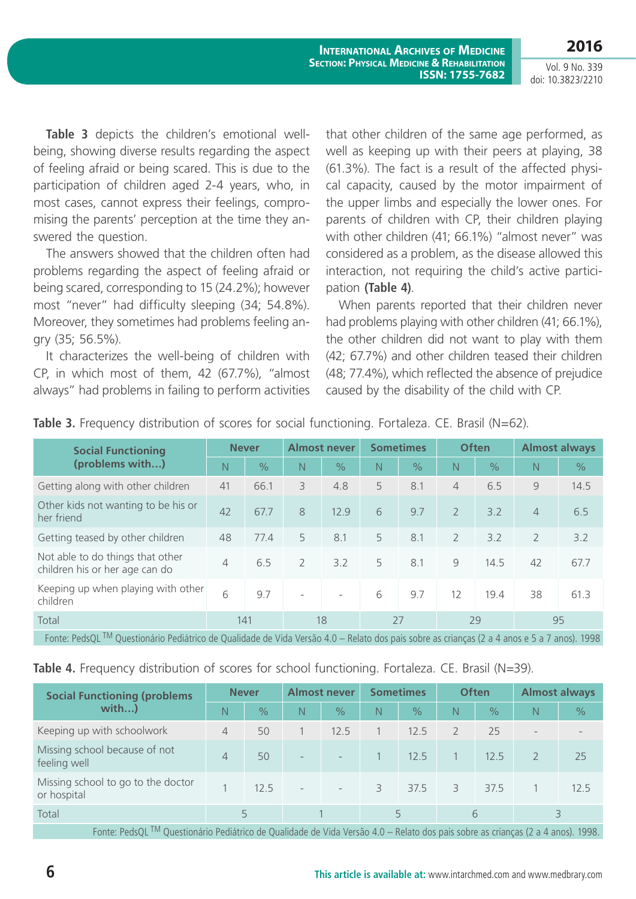Vol. 9 No. 339 doi: 10.3823/2210

**2016**

**Table 3** depicts the children's emotional wellbeing, showing diverse results regarding the aspect of feeling afraid or being scared. This is due to the participation of children aged 2-4 years, who, in most cases, cannot express their feelings, compromising the parents' perception at the time they answered the question.

The answers showed that the children often had problems regarding the aspect of feeling afraid or being scared, corresponding to 15 (24.2%); however most "never" had difficulty sleeping (34; 54.8%). Moreover, they sometimes had problems feeling angry (35; 56.5%).

It characterizes the well-being of children with CP, in which most of them, 42 (67.7%), "almost always" had problems in failing to perform activities

that other children of the same age performed, as well as keeping up with their peers at playing, 38 (61.3%). The fact is a result of the affected physical capacity, caused by the motor impairment of the upper limbs and especially the lower ones. For parents of children with CP, their children playing with other children (41; 66.1%) "almost never" was considered as a problem, as the disease allowed this interaction, not requiring the child's active participation **(Table 4)**.

When parents reported that their children never had problems playing with other children (41; 66.1%), the other children did not want to play with them (42; 67.7%) and other children teased their children (48; 77.4%), which reflected the absence of prejudice caused by the disability of the child with CP.

| <b>Social Functioning</b>                                                                                                                               | <b>Never</b>   |               | <b>Almost never</b>      |                          | <b>Sometimes</b> |               | <b>Often</b>   |               | <b>Almost always</b> |               |
|---------------------------------------------------------------------------------------------------------------------------------------------------------|----------------|---------------|--------------------------|--------------------------|------------------|---------------|----------------|---------------|----------------------|---------------|
| (problems with)                                                                                                                                         | N.             | $\frac{1}{2}$ | N.                       | $\frac{1}{2}$            | N                | $\frac{1}{2}$ | N              | $\frac{1}{2}$ | N                    | $\frac{9}{6}$ |
| Getting along with other children                                                                                                                       | 41             | 66.1          | 3                        | 4.8                      | 5                | 8.1           | 4              | 6.5           | 9                    | 14.5          |
| Other kids not wanting to be his or<br>her friend                                                                                                       | 42             | 67.7          | 8                        | 12.9                     | 6                | 9.7           | $\overline{2}$ | 3.2           | $\overline{4}$       | 6.5           |
| Getting teased by other children                                                                                                                        | 48             | 77.4          | 5                        | 8.1                      | 5                | 8.1           | $\overline{2}$ | 3.2           | $\overline{2}$       | 3.2           |
| Not able to do things that other<br>children his or her age can do                                                                                      | $\overline{4}$ | 6.5           | $\overline{2}$           | 3.2                      | 5                | 8.1           | 9              | 14.5          | 42                   | 67.7          |
| Keeping up when playing with other<br>children                                                                                                          | 6              | 9.7           | $\overline{\phantom{a}}$ | $\overline{\phantom{a}}$ | 6                | 9.7           | 12             | 19.4          | 38                   | 61.3          |
| Total                                                                                                                                                   | 141            |               | 18                       |                          | 27               |               | 29             |               | 95                   |               |
| Fonte: PedsQL <sup>TM</sup> Questionário Pediátrico de Qualidade de Vida Versão 4.0 – Relato dos pais sobre as crianças (2 a 4 anos e 5 a 7 anos). 1998 |                |               |                          |                          |                  |               |                |               |                      |               |

**Table 3.** Frequency distribution of scores for social functioning. Fortaleza. CE. Brasil (N=62).

Table 4. Frequency distribution of scores for school functioning. Fortaleza. CE. Brasil (N=39).

| <b>Social Functioning (problems</b>                                                                                                                                                                                                                                                                                                                                                                                                                                                                                                                                                             | <b>Never</b> |               | <b>Almost never</b>      |                          | <b>Sometimes</b> |               | <b>Often</b>   |               | <b>Almost always</b>     |               |
|-------------------------------------------------------------------------------------------------------------------------------------------------------------------------------------------------------------------------------------------------------------------------------------------------------------------------------------------------------------------------------------------------------------------------------------------------------------------------------------------------------------------------------------------------------------------------------------------------|--------------|---------------|--------------------------|--------------------------|------------------|---------------|----------------|---------------|--------------------------|---------------|
| with)                                                                                                                                                                                                                                                                                                                                                                                                                                                                                                                                                                                           | N            | $\frac{0}{0}$ | N                        | $\frac{0}{0}$            | N                | $\frac{1}{2}$ | N              | $\frac{1}{2}$ | N                        | $\frac{1}{2}$ |
| Keeping up with schoolwork                                                                                                                                                                                                                                                                                                                                                                                                                                                                                                                                                                      | 4            | 50            |                          | 12.5                     |                  | 12.5          | $\overline{2}$ | 25            | $\overline{\phantom{a}}$ |               |
| Missing school because of not<br>feeling well                                                                                                                                                                                                                                                                                                                                                                                                                                                                                                                                                   | 4            | 50            | $\overline{\phantom{0}}$ | $\overline{\phantom{a}}$ |                  | 12.5          |                | 12.5          |                          | 25            |
| Missing school to go to the doctor<br>or hospital                                                                                                                                                                                                                                                                                                                                                                                                                                                                                                                                               |              | 12.5          | $\overline{\phantom{a}}$ | $\overline{\phantom{a}}$ | 3                | 37.5          | 3              | 37.5          |                          | 12.5          |
| Total                                                                                                                                                                                                                                                                                                                                                                                                                                                                                                                                                                                           |              | 5             |                          |                          | 5                |               | 6              |               |                          |               |
| $\blacksquare$ $\blacksquare$ $\blacksquare$ $\blacksquare$ $\blacksquare$ $\blacksquare$ $\blacksquare$ $\blacksquare$ $\blacksquare$ $\blacksquare$ $\blacksquare$ $\blacksquare$ $\blacksquare$ $\blacksquare$ $\blacksquare$ $\blacksquare$ $\blacksquare$ $\blacksquare$ $\blacksquare$ $\blacksquare$ $\blacksquare$ $\blacksquare$ $\blacksquare$ $\blacksquare$ $\blacksquare$ $\blacksquare$ $\blacksquare$ $\blacksquare$ $\blacksquare$ $\blacksquare$ $\blacksquare$ $\blacks$<br>$\sim$ $\sim$ $\sim$ $\sim$ $\sim$ $\sim$ $\sim$ $\sim$<br>$\sqrt{2}$ $\sqrt{2}$<br>$\sqrt{1000}$ |              |               |                          |                          |                  |               |                |               |                          |               |

Fonte: PedsQL <sup>IM</sup> Questionário Pediátrico de Qualidade de Vida Versão 4.0 – Relato dos pais sobre as crianças (2 a 4 anos). 1998.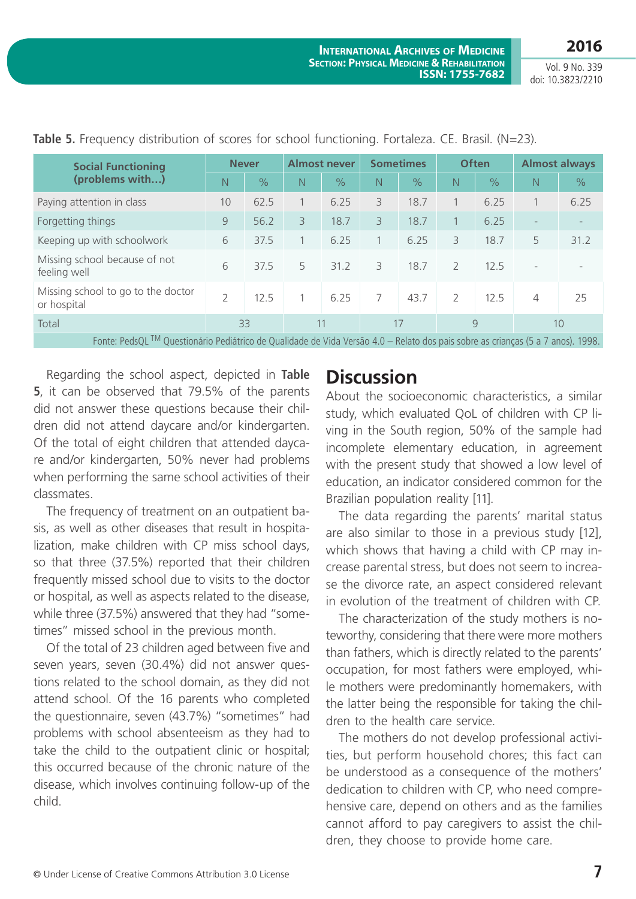**2016**

| <b>Social Functioning</b>                                                                                                       | <b>Never</b>  |               | <b>Almost never</b> |               | <b>Sometimes</b> |               | <b>Often</b>  |               | <b>Almost always</b>     |               |  |
|---------------------------------------------------------------------------------------------------------------------------------|---------------|---------------|---------------------|---------------|------------------|---------------|---------------|---------------|--------------------------|---------------|--|
| (problems with)                                                                                                                 | N             | $\frac{1}{2}$ | N                   | $\frac{1}{2}$ | N                | $\frac{1}{2}$ | N             | $\frac{0}{0}$ | $\mathbb N$              | $\frac{9}{6}$ |  |
| Paying attention in class                                                                                                       | 10            | 62.5          |                     | 6.25          | 3                | 18.7          |               | 6.25          |                          | 6.25          |  |
| Forgetting things                                                                                                               | 9             | 56.2          | 3                   | 18.7          | 3                | 18.7          |               | 6.25          | $\overline{\phantom{0}}$ |               |  |
| Keeping up with schoolwork                                                                                                      | 6             | 37.5          |                     | 6.25          |                  | 6.25          | 3             | 18.7          | 5                        | 31.2          |  |
| Missing school because of not<br>feeling well                                                                                   | 6             | 37.5          | 5                   | 31.2          | 3                | 18.7          | $\mathcal{L}$ | 12.5          | $\overline{\phantom{a}}$ |               |  |
| Missing school to go to the doctor<br>or hospital                                                                               | $\mathcal{P}$ | 12.5          |                     | 6.25          | 7                | 43.7          | $\mathcal{P}$ | 12.5          | $\overline{4}$           | 25            |  |
| Total                                                                                                                           |               | 33            |                     | 11            |                  | 17            |               | 9             |                          | 10            |  |
| Eonte: PedsOL IM Questionário Pediátrico de Qualidade de Vida Versão 4.0 — Relato dos pais sobre as crianças (5 a 7 anos), 1998 |               |               |                     |               |                  |               |               |               |                          |               |  |

Table 5. Frequency distribution of scores for school functioning. Fortaleza. CE. Brasil. (N=23).

Fonte: PedsQL <sup>TM</sup> Questionário Pediátrico de Qualidade de Vida Versão 4.0 – Relato dos pais sobre as crianças (5 a 7 anos). 1998.

Regarding the school aspect, depicted in **Table 5**, it can be observed that 79.5% of the parents did not answer these questions because their children did not attend daycare and/or kindergarten. Of the total of eight children that attended daycare and/or kindergarten, 50% never had problems when performing the same school activities of their classmates.

The frequency of treatment on an outpatient basis, as well as other diseases that result in hospitalization, make children with CP miss school days, so that three (37.5%) reported that their children frequently missed school due to visits to the doctor or hospital, as well as aspects related to the disease, while three (37.5%) answered that they had "sometimes" missed school in the previous month.

Of the total of 23 children aged between five and seven years, seven (30.4%) did not answer questions related to the school domain, as they did not attend school. Of the 16 parents who completed the questionnaire, seven (43.7%) "sometimes" had problems with school absenteeism as they had to take the child to the outpatient clinic or hospital; this occurred because of the chronic nature of the disease, which involves continuing follow-up of the child.

## **Discussion**

About the socioeconomic characteristics, a similar study, which evaluated QoL of children with CP living in the South region, 50% of the sample had incomplete elementary education, in agreement with the present study that showed a low level of education, an indicator considered common for the Brazilian population reality [11].

The data regarding the parents' marital status are also similar to those in a previous study [12], which shows that having a child with CP may increase parental stress, but does not seem to increase the divorce rate, an aspect considered relevant in evolution of the treatment of children with CP.

The characterization of the study mothers is noteworthy, considering that there were more mothers than fathers, which is directly related to the parents' occupation, for most fathers were employed, while mothers were predominantly homemakers, with the latter being the responsible for taking the children to the health care service.

The mothers do not develop professional activities, but perform household chores; this fact can be understood as a consequence of the mothers' dedication to children with CP, who need comprehensive care, depend on others and as the families cannot afford to pay caregivers to assist the children, they choose to provide home care.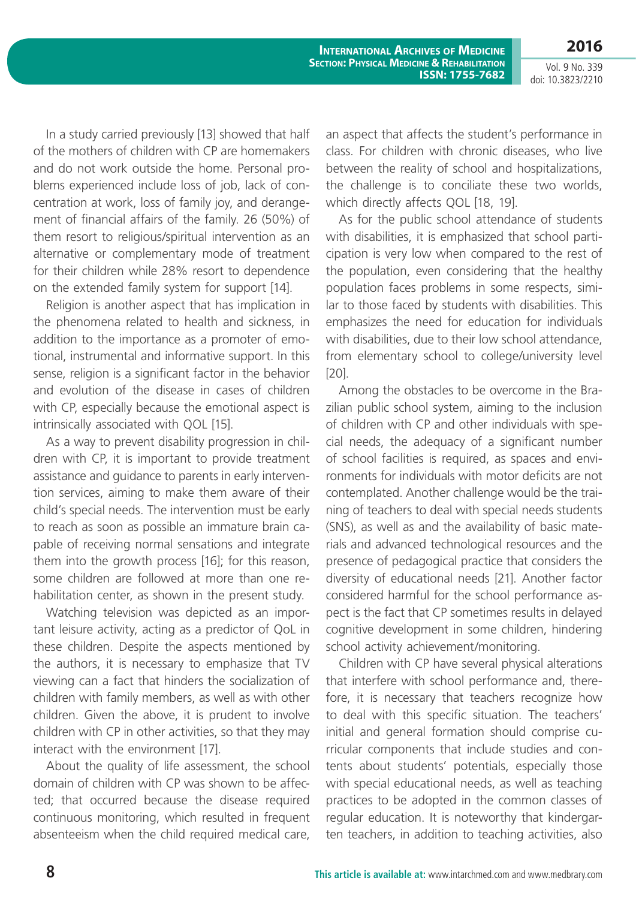**2016**

In a study carried previously [13] showed that half of the mothers of children with CP are homemakers and do not work outside the home. Personal problems experienced include loss of job, lack of concentration at work, loss of family joy, and derangement of financial affairs of the family. 26 (50%) of them resort to religious/spiritual intervention as an alternative or complementary mode of treatment for their children while 28% resort to dependence on the extended family system for support [14].

Religion is another aspect that has implication in the phenomena related to health and sickness, in addition to the importance as a promoter of emotional, instrumental and informative support. In this sense, religion is a significant factor in the behavior and evolution of the disease in cases of children with CP, especially because the emotional aspect is intrinsically associated with QOL [15].

As a way to prevent disability progression in children with CP, it is important to provide treatment assistance and guidance to parents in early intervention services, aiming to make them aware of their child's special needs. The intervention must be early to reach as soon as possible an immature brain capable of receiving normal sensations and integrate them into the growth process [16]; for this reason, some children are followed at more than one rehabilitation center, as shown in the present study.

Watching television was depicted as an important leisure activity, acting as a predictor of QoL in these children. Despite the aspects mentioned by the authors, it is necessary to emphasize that TV viewing can a fact that hinders the socialization of children with family members, as well as with other children. Given the above, it is prudent to involve children with CP in other activities, so that they may interact with the environment [17].

About the quality of life assessment, the school domain of children with CP was shown to be affected; that occurred because the disease required continuous monitoring, which resulted in frequent absenteeism when the child required medical care,

an aspect that affects the student's performance in class. For children with chronic diseases, who live between the reality of school and hospitalizations, the challenge is to conciliate these two worlds, which directly affects QOL [18, 19].

As for the public school attendance of students with disabilities, it is emphasized that school participation is very low when compared to the rest of the population, even considering that the healthy population faces problems in some respects, similar to those faced by students with disabilities. This emphasizes the need for education for individuals with disabilities, due to their low school attendance. from elementary school to college/university level [20].

Among the obstacles to be overcome in the Brazilian public school system, aiming to the inclusion of children with CP and other individuals with special needs, the adequacy of a significant number of school facilities is required, as spaces and environments for individuals with motor deficits are not contemplated. Another challenge would be the training of teachers to deal with special needs students (SNS), as well as and the availability of basic materials and advanced technological resources and the presence of pedagogical practice that considers the diversity of educational needs [21]. Another factor considered harmful for the school performance aspect is the fact that CP sometimes results in delayed cognitive development in some children, hindering school activity achievement/monitoring.

Children with CP have several physical alterations that interfere with school performance and, therefore, it is necessary that teachers recognize how to deal with this specific situation. The teachers' initial and general formation should comprise curricular components that include studies and contents about students' potentials, especially those with special educational needs, as well as teaching practices to be adopted in the common classes of regular education. It is noteworthy that kindergarten teachers, in addition to teaching activities, also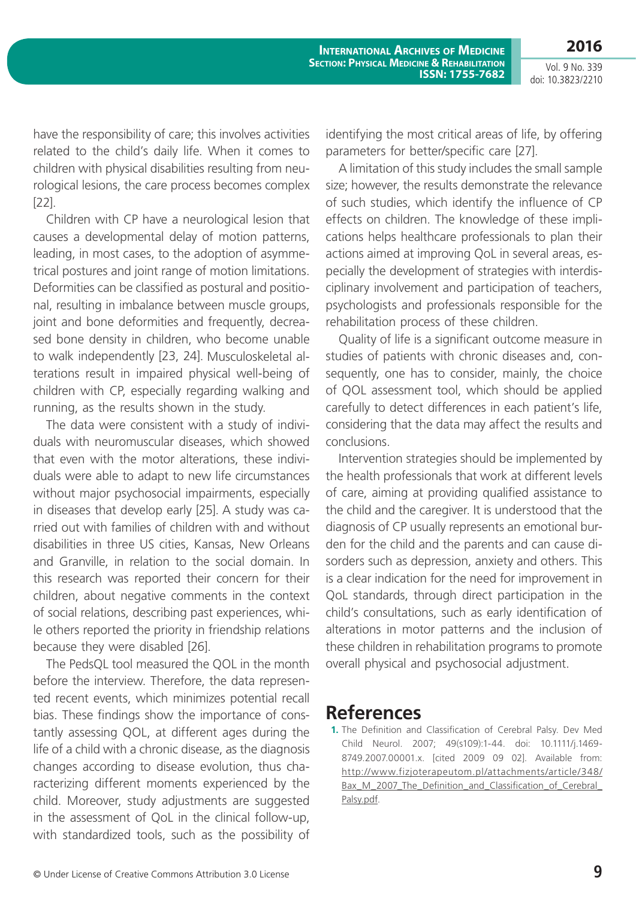Vol. 9 No. 339 doi: 10.3823/2210

**2016**

have the responsibility of care; this involves activities related to the child's daily life. When it comes to children with physical disabilities resulting from neurological lesions, the care process becomes complex [22].

Children with CP have a neurological lesion that causes a developmental delay of motion patterns, leading, in most cases, to the adoption of asymmetrical postures and joint range of motion limitations. Deformities can be classified as postural and positional, resulting in imbalance between muscle groups, joint and bone deformities and frequently, decreased bone density in children, who become unable to walk independently [23, 24]. Musculoskeletal alterations result in impaired physical well-being of children with CP, especially regarding walking and running, as the results shown in the study.

The data were consistent with a study of individuals with neuromuscular diseases, which showed that even with the motor alterations, these individuals were able to adapt to new life circumstances without major psychosocial impairments, especially in diseases that develop early [25]. A study was carried out with families of children with and without disabilities in three US cities, Kansas, New Orleans and Granville, in relation to the social domain. In this research was reported their concern for their children, about negative comments in the context of social relations, describing past experiences, while others reported the priority in friendship relations because they were disabled [26].

The PedsQL tool measured the QOL in the month before the interview. Therefore, the data represented recent events, which minimizes potential recall bias. These findings show the importance of constantly assessing QOL, at different ages during the life of a child with a chronic disease, as the diagnosis changes according to disease evolution, thus characterizing different moments experienced by the child. Moreover, study adjustments are suggested in the assessment of QoL in the clinical follow-up, with standardized tools, such as the possibility of identifying the most critical areas of life, by offering parameters for better/specific care [27].

A limitation of this study includes the small sample size; however, the results demonstrate the relevance of such studies, which identify the influence of CP effects on children. The knowledge of these implications helps healthcare professionals to plan their actions aimed at improving QoL in several areas, especially the development of strategies with interdisciplinary involvement and participation of teachers, psychologists and professionals responsible for the rehabilitation process of these children.

Quality of life is a significant outcome measure in studies of patients with chronic diseases and, consequently, one has to consider, mainly, the choice of QOL assessment tool, which should be applied carefully to detect differences in each patient's life, considering that the data may affect the results and conclusions.

Intervention strategies should be implemented by the health professionals that work at different levels of care, aiming at providing qualified assistance to the child and the caregiver. It is understood that the diagnosis of CP usually represents an emotional burden for the child and the parents and can cause disorders such as depression, anxiety and others. This is a clear indication for the need for improvement in QoL standards, through direct participation in the child's consultations, such as early identification of alterations in motor patterns and the inclusion of these children in rehabilitation programs to promote overall physical and psychosocial adjustment.

### **References**

**1.** The Definition and Classification of Cerebral Palsy. Dev Med Child Neurol. 2007; 49(s109):1-44. doi: 10.1111/j.1469- 8749.2007.00001.x. [cited 2009 09 02]. Available from: [http://www.fizjoterapeutom.pl/attachments/article/348/](http://www.fizjoterapeutom.pl/attachments/article/348/Bax_M_2007_The_Definition_and_Classification_of_Cerebral_Palsy.pdf) Bax\_M\_2007\_The\_Definition\_and\_Classification\_of\_Cerebral [Palsy.pdf.](http://www.fizjoterapeutom.pl/attachments/article/348/Bax_M_2007_The_Definition_and_Classification_of_Cerebral_Palsy.pdf)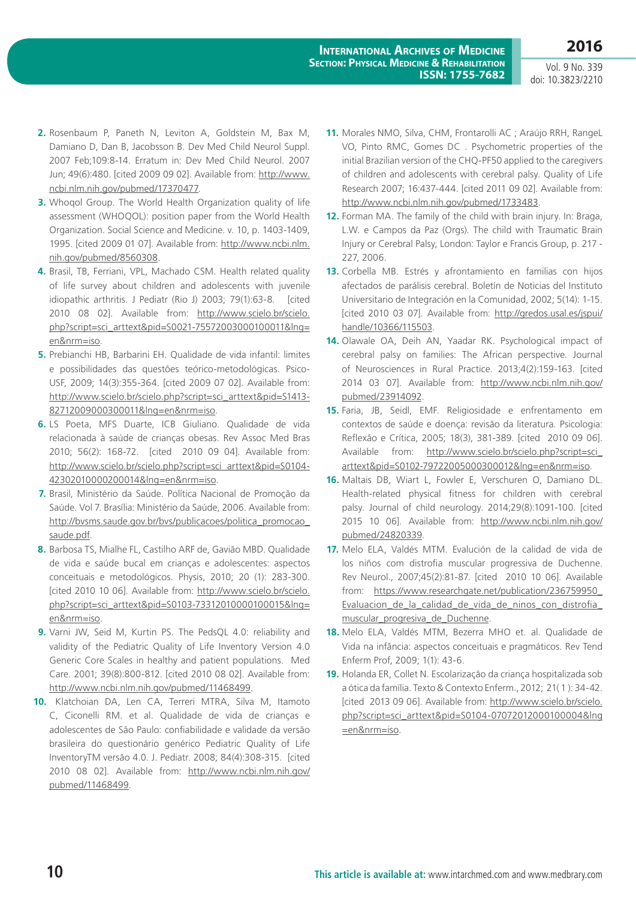- **2.** Rosenbaum P, Paneth N, Leviton A, Goldstein M, Bax M, Damiano D, Dan B, Jacobsson B. Dev Med Child Neurol Suppl. 2007 Feb;109:8-14. Erratum in: Dev Med Child Neurol. 2007 Jun; 49(6):480. [cited 2009 09 02]. Available from: [http://www.](http://www.ncbi.nlm.nih.gov/pubmed/17370477) [ncbi.nlm.nih.gov/pubmed/17370477.](http://www.ncbi.nlm.nih.gov/pubmed/17370477)
- **3.** Whoqol Group. The World Health Organization quality of life assessment (WHOQOL): position paper from the World Health Organization. Social Science and Medicine. v. 10, p. 1403-1409, 1995. [cited 2009 01 07]. Available from: [http://www.ncbi.nlm.](http://www.ncbi.nlm.nih.gov/pubmed/8560308) [nih.gov/pubmed/8560308.](http://www.ncbi.nlm.nih.gov/pubmed/8560308)
- **4.** Brasil, TB, Ferriani, VPL, Machado CSM. Health related quality of life survey about children and adolescents with juvenile idiopathic arthritis. J Pediatr (Rio J) 2003: 79(1):63-8. [cited 2010 08 02]. Available from: [http://www.scielo.br/scielo.](http://www.scielo.br/scielo.php?script=sci_arttext&pid=S0021-75572003000100011&lng=en&nrm=iso) [php?script=sci\\_arttext&pid=S0021-75572003000100011&lng=](http://www.scielo.br/scielo.php?script=sci_arttext&pid=S0021-75572003000100011&lng=en&nrm=iso) [en&nrm=iso.](http://www.scielo.br/scielo.php?script=sci_arttext&pid=S0021-75572003000100011&lng=en&nrm=iso)
- **5.** Prebianchi HB, Barbarini EH. Qualidade de vida infantil: limites e possibilidades das questões teórico-metodológicas. Psico-USF, 2009; 14(3):355-364. [cited 2009 07 02]. Available from: [http://www.scielo.br/scielo.php?script=sci\\_arttext&pid=S1413-](http://www.scielo.br/scielo.php?script=sci_arttext&pid=S1413-82712009000300011&lng=en&nrm=iso) [82712009000300011&lng=en&nrm=iso](http://www.scielo.br/scielo.php?script=sci_arttext&pid=S1413-82712009000300011&lng=en&nrm=iso).
- **6.** LS Poeta, MFS Duarte, ICB Giuliano. Qualidade de vida relacionada à saúde de crianças obesas. Rev Assoc Med Bras 2010; 56(2): 168-72. [cited 2010 09 04]. Available from: [http://www.scielo.br/scielo.php?script=sci\\_arttext&pid=S0104-](http://www.scielo.br/scielo.php?script=sci_arttext&pid=S0104-42302010000200014&lng=en&nrm=iso) [42302010000200014&lng=en&nrm=iso](http://www.scielo.br/scielo.php?script=sci_arttext&pid=S0104-42302010000200014&lng=en&nrm=iso).
- **7.** Brasil, Ministério da Saúde. Política Nacional de Promoção da Saúde. Vol 7. Brasília: Ministério da Saúde, 2006. Available from: [http://bvsms.saude.gov.br/bvs/publicacoes/politica\\_promocao\\_](http://bvsms.saude.gov.br/bvs/publicacoes/politica_promocao_saude.pdf) [saude.pdf](http://bvsms.saude.gov.br/bvs/publicacoes/politica_promocao_saude.pdf).
- **8.** Barbosa TS, Mialhe FL, Castilho ARF de, Gavião MBD. Qualidade de vida e saúde bucal em crianças e adolescentes: aspectos conceituais e metodológicos. Physis, 2010; 20 (1): 283-300. [cited 2010 10 06]. Available from: [http://www.scielo.br/scielo.](http://www.scielo.br/scielo.php?script=sci_arttext&pid=S0103-73312010000100015&lng=en&nrm=iso) [php?script=sci\\_arttext&pid=S0103-73312010000100015&lng=](http://www.scielo.br/scielo.php?script=sci_arttext&pid=S0103-73312010000100015&lng=en&nrm=iso) [en&nrm=iso.](http://www.scielo.br/scielo.php?script=sci_arttext&pid=S0103-73312010000100015&lng=en&nrm=iso)
- **9.** Varni JW, Seid M, Kurtin PS. The PedsQL 4.0: reliability and validity of the Pediatric Quality of Life Inventory Version 4.0 Generic Core Scales in healthy and patient populations. Med Care. 2001; 39(8):800-812. [cited 2010 08 02]. Available from: [http://www.ncbi.nlm.nih.gov/pubmed/11468499.](http://www.ncbi.nlm.nih.gov/pubmed/11468499)
- **10.** Klatchoian DA, Len CA, Terreri MTRA, Silva M, Itamoto C, Ciconelli RM. et al. Qualidade de vida de crianças e adolescentes de São Paulo: confiabilidade e validade da versão brasileira do questionário genérico Pediatric Quality of Life InventoryTM versão 4.0. J. Pediatr. 2008; 84(4):308-315. [cited 2010 08 02]. Available from: [http://www.ncbi.nlm.nih.gov/](http://www.ncbi.nlm.nih.gov/pubmed/11468499) [pubmed/11468499](http://www.ncbi.nlm.nih.gov/pubmed/11468499).
- **11.** Morales NMO, Silva, CHM, Frontarolli AC ; Araújo RRH, RangeL VO, Pinto RMC, Gomes DC . Psychometric properties of the initial Brazilian version of the CHQ-PF50 applied to the caregivers of children and adolescents with cerebral palsy. Quality of Life Research 2007; 16:437-444. [cited 2011 09 02]. Available from: [http://www.ncbi.nlm.nih.gov/pubmed/1733483.](http://www.ncbi.nlm.nih.gov/pubmed/1733483)
- **12.** Forman MA. The family of the child with brain injury. In: Braga, L.W. e Campos da Paz (Orgs). The child with Traumatic Brain Injury or Cerebral Palsy, London: Taylor e Francis Group, p. 217 - 227, 2006.
- **13.** Corbella MB. Estrés y afrontamiento en familias con hijos afectados de parálisis cerebral. Boletín de Noticias del Instituto Universitario de Integración en la Comunidad, 2002; 5(14): 1-15. [cited 2010 03 07]. Available from: [http://gredos.usal.es/jspui/](http://gredos.usal.es/jspui/handle/10366/115503) [handle/10366/115503.](http://gredos.usal.es/jspui/handle/10366/115503)
- **14.** Olawale OA, Deih AN, Yaadar RK. Psychological impact of cerebral palsy on families: The African perspective. Journal of Neurosciences in Rural Practice. 2013;4(2):159-163. [cited 2014 03 07]. Available from: [http://www.ncbi.nlm.nih.gov/](http://www.ncbi.nlm.nih.gov/pubmed/23914092) [pubmed/23914092.](http://www.ncbi.nlm.nih.gov/pubmed/23914092)
- **15.** Faria, JB, Seidl, EMF. Religiosidade e enfrentamento em contextos de saúde e doença: revisão da literatura. Psicologia: Reflexão e Crítica, 2005; 18(3), 381-389. [cited 2010 09 06]. Available from: [http://www.scielo.br/scielo.php?script=sci\\_](http://www.scielo.br/scielo.php?script=sci_arttext&pid=S0102-79722005000300012&lng=en&nrm=iso) [arttext&pid=S0102-79722005000300012&lng=en&nrm=iso](http://www.scielo.br/scielo.php?script=sci_arttext&pid=S0102-79722005000300012&lng=en&nrm=iso).
- **16.** Maltais DB, Wiart L, Fowler E, Verschuren O, Damiano DL. Health-related physical fitness for children with cerebral palsy. Journal of child neurology. 2014;29(8):1091-100. [cited 2015 10 06]. Available from: [http://www.ncbi.nlm.nih.gov/](http://www.ncbi.nlm.nih.gov/pubmed/24820339) [pubmed/24820339](http://www.ncbi.nlm.nih.gov/pubmed/24820339).
- **17.** Melo ELA, Valdés MTM. Evalución de la calidad de vida de los niños com distrofia muscular progressiva de Duchenne. Rev Neurol., 2007;45(2):81-87. [cited 2010 10 06]. Available from: [https://www.researchgate.net/publication/236759950\\_](https://www.researchgate.net/publication/236759950_Evaluacion_de_la_calidad_de_vida_de_ninos_con_distrofia_muscular_progresiva_de_Duchenne) [Evaluacion\\_de\\_la\\_calidad\\_de\\_vida\\_de\\_ninos\\_con\\_distrofia\\_](https://www.researchgate.net/publication/236759950_Evaluacion_de_la_calidad_de_vida_de_ninos_con_distrofia_muscular_progresiva_de_Duchenne) [muscular\\_progresiva\\_de\\_Duchenne.](https://www.researchgate.net/publication/236759950_Evaluacion_de_la_calidad_de_vida_de_ninos_con_distrofia_muscular_progresiva_de_Duchenne)
- **18.** Melo ELA, Valdés MTM, Bezerra MHO et. al. Qualidade de Vida na infância: aspectos conceituais e pragmáticos. Rev Tend Enferm Prof, 2009; 1(1): 43-6.
- **19.** Holanda ER, Collet N. Escolarização da criança hospitalizada sob a ótica da família. Texto & Contexto Enferm., 2012; 21( 1 ): 34-42. [cited 2013 09 06]. Available from: [http://www.scielo.br/scielo.](http://www.scielo.br/scielo.php?script=sci_arttext&pid=S0104-07072012000100004&lng=en&nrm=iso) [php?script=sci\\_arttext&pid=S0104-07072012000100004&lng](http://www.scielo.br/scielo.php?script=sci_arttext&pid=S0104-07072012000100004&lng=en&nrm=iso) [=en&nrm=iso](http://www.scielo.br/scielo.php?script=sci_arttext&pid=S0104-07072012000100004&lng=en&nrm=iso).